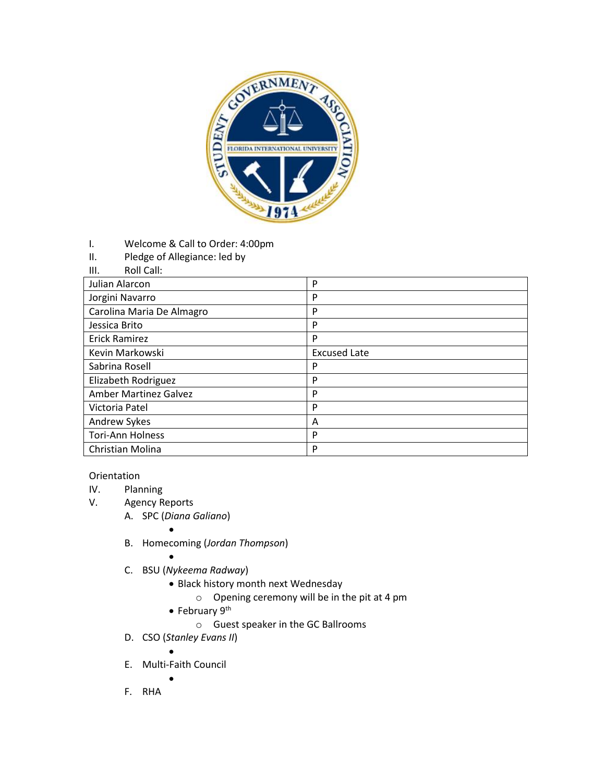

- I. Welcome & Call to Order: 4:00pm
- II. Pledge of Allegiance: led by
- III. Roll Call:

| Julian Alarcon               | P                   |
|------------------------------|---------------------|
| Jorgini Navarro              | P                   |
| Carolina Maria De Almagro    | P                   |
| Jessica Brito                | P                   |
| <b>Erick Ramirez</b>         | P                   |
| Kevin Markowski              | <b>Excused Late</b> |
| Sabrina Rosell               | P                   |
| Elizabeth Rodriguez          | P                   |
| <b>Amber Martinez Galvez</b> | P                   |
| Victoria Patel               | P                   |
| Andrew Sykes                 | A                   |
| <b>Tori-Ann Holness</b>      | P                   |
| Christian Molina             | P                   |

## Orientation

- IV. Planning<br>V. Agency R
	- Agency Reports
		- A. SPC (*Diana Galiano*)
			- $\bullet$
		- B. Homecoming (*Jordan Thompson*)
			-
		- $\bullet$ C. BSU (*Nykeema Radway*)
			- Black history month next Wednesday
				- o Opening ceremony will be in the pit at 4 pm
			- $\bullet$  February 9<sup>th</sup>
				- o Guest speaker in the GC Ballrooms
		- D. CSO (*Stanley Evans II*)
		- $\bullet$ E. Multi-Faith Council

 $\bullet$ 

F. RHA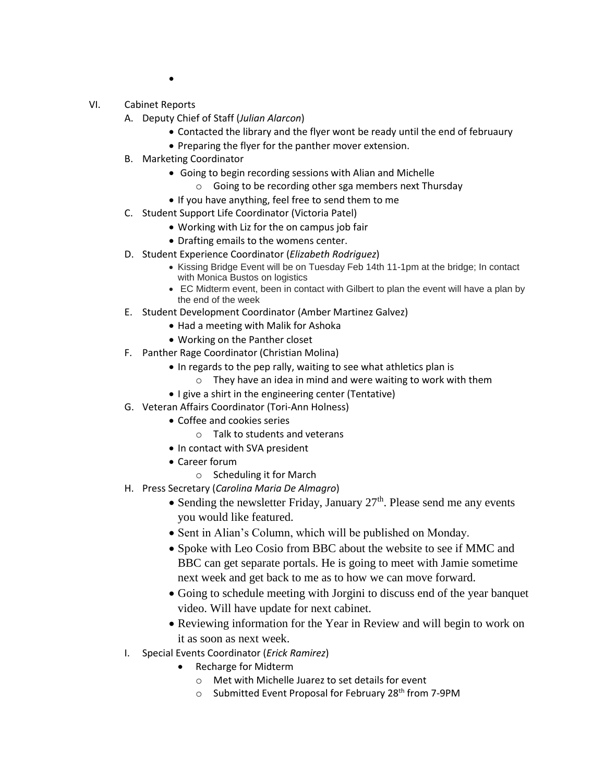$\bullet$ 

- VI. Cabinet Reports
	- A. Deputy Chief of Staff (*Julian Alarcon*)
		- Contacted the library and the flyer wont be ready until the end of februaury
		- Preparing the flyer for the panther mover extension.
	- B. Marketing Coordinator
		- Going to begin recording sessions with Alian and Michelle
			- o Going to be recording other sga members next Thursday
		- If you have anything, feel free to send them to me
	- C. Student Support Life Coordinator (Victoria Patel)
		- Working with Liz for the on campus job fair
		- Drafting emails to the womens center.
	- D. Student Experience Coordinator (*Elizabeth Rodriguez*)
		- Kissing Bridge Event will be on Tuesday Feb 14th 11-1pm at the bridge; In contact with Monica Bustos on logistics
		- EC Midterm event, been in contact with Gilbert to plan the event will have a plan by the end of the week
	- E. Student Development Coordinator (Amber Martinez Galvez)
		- Had a meeting with Malik for Ashoka
		- Working on the Panther closet
	- F. Panther Rage Coordinator (Christian Molina)
		- In regards to the pep rally, waiting to see what athletics plan is
			- o They have an idea in mind and were waiting to work with them
		- I give a shirt in the engineering center (Tentative)
	- G. Veteran Affairs Coordinator (Tori-Ann Holness)
		- Coffee and cookies series
			- o Talk to students and veterans
		- In contact with SVA president
		- Career forum
			- o Scheduling it for March
	- H. Press Secretary (*Carolina Maria De Almagro*)
		- Sending the newsletter Friday, January  $27<sup>th</sup>$ . Please send me any events you would like featured.
		- Sent in Alian's Column, which will be published on Monday.
		- Spoke with Leo Cosio from BBC about the website to see if MMC and BBC can get separate portals. He is going to meet with Jamie sometime next week and get back to me as to how we can move forward.
		- Going to schedule meeting with Jorgini to discuss end of the year banquet video. Will have update for next cabinet.
		- Reviewing information for the Year in Review and will begin to work on it as soon as next week.
	- I. Special Events Coordinator (*Erick Ramirez*)
		- Recharge for Midterm
			- o Met with Michelle Juarez to set details for event
			- $\circ$  Submitted Event Proposal for February 28<sup>th</sup> from 7-9PM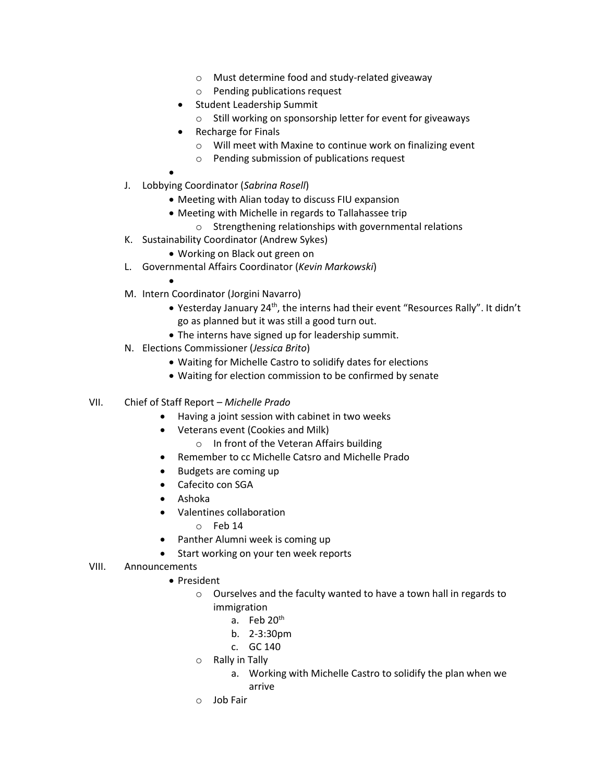- o Must determine food and study-related giveaway
- o Pending publications request
- **•** Student Leadership Summit
	- o Still working on sponsorship letter for event for giveaways
- Recharge for Finals
	- o Will meet with Maxine to continue work on finalizing event
	- o Pending submission of publications request
- $\bullet$
- J. Lobbying Coordinator (*Sabrina Rosell*)
	- Meeting with Alian today to discuss FIU expansion
	- Meeting with Michelle in regards to Tallahassee trip
		- o Strengthening relationships with governmental relations
- K. Sustainability Coordinator (Andrew Sykes)
	- Working on Black out green on
- L. Governmental Affairs Coordinator (*Kevin Markowski*)
	- $\bullet$
- M. Intern Coordinator (Jorgini Navarro)
	- Yesterday January 24<sup>th</sup>, the interns had their event "Resources Rally". It didn't go as planned but it was still a good turn out.
	- The interns have signed up for leadership summit.
- N. Elections Commissioner (*Jessica Brito*)
	- Waiting for Michelle Castro to solidify dates for elections
	- Waiting for election commission to be confirmed by senate
- VII. Chief of Staff Report *Michelle Prado*
	- Having a joint session with cabinet in two weeks
	- Veterans event (Cookies and Milk)
		- o In front of the Veteran Affairs building
	- Remember to cc Michelle Catsro and Michelle Prado
	- Budgets are coming up
	- Cafecito con SGA
	- Ashoka
	- Valentines collaboration
		- o Feb 14
	- Panther Alumni week is coming up
	- Start working on your ten week reports

## VIII. Announcements

- President
	- o Ourselves and the faculty wanted to have a town hall in regards to immigration
		- a. Feb 20<sup>th</sup>
		- b. 2-3:30pm
		- c. GC 140
	- o Rally in Tally
		- a. Working with Michelle Castro to solidify the plan when we arrive
	- o Job Fair